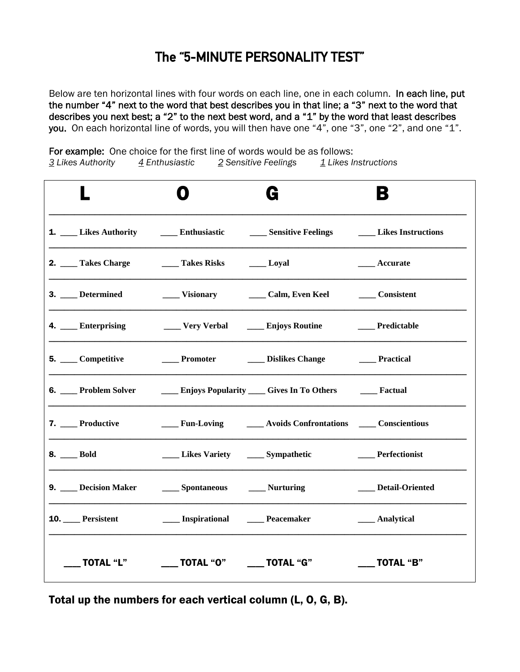### The "5-MINUTE PERSONALITY TEST"

Below are ten horizontal lines with four words on each line, one in each column. In each line, put the number "4" next to the word that best describes you in that line; a "3" next to the word that describes you next best; a "2" to the next best word, and a "1" by the word that least describes you. On each horizontal line of words, you will then have one "4", one "3", one "2", and one "1".

For example: One choice for the first line of words would be as follows: 3 Likes Authority  $\frac{4}{5}$  Enthusiastic  $\frac{2}{5}$  Sensitive Feelings  $\frac{1}{5}$  Likes Instructions

|                                          |                                                          | G                                                                                                                                                                                                                              | В                    |
|------------------------------------------|----------------------------------------------------------|--------------------------------------------------------------------------------------------------------------------------------------------------------------------------------------------------------------------------------|----------------------|
|                                          |                                                          | 1. Likes Authority 1. Likes Authority 1. Likes Authority 1. Likes Authority 1. Likes Authority 1. Likes Authority 1. Likes Authority 1. Likes Authority 1. Likes Authority 1. Likes Authority 1. Likes Authority 1. Likes Auth |                      |
| 2. Takes Charge Takes Risks ______ Loyal |                                                          |                                                                                                                                                                                                                                | ____ Accurate        |
| 3. Determined                            |                                                          | Visionary Calm, Even Keel                                                                                                                                                                                                      | <b>Consistent</b>    |
| 4. ___ Enterprising                      | _____ Very Verbal ______ Enjoys Routine                  |                                                                                                                                                                                                                                | ___ Predictable      |
| 5. ____ Competitive                      | ____ Promoter ______ Dislikes Change                     |                                                                                                                                                                                                                                | <b>Practical</b>     |
|                                          |                                                          | 6. Problem Solver <b>Community</b> Enjoys Popularity Gives In To Others <b>Community</b> Pactual                                                                                                                               |                      |
| 7. __ Productive                         |                                                          | Fun-Loving Avoids Confrontations Conscientious                                                                                                                                                                                 |                      |
| 8. Bold                                  | Likes Variety ______ Sympathetic                         |                                                                                                                                                                                                                                | __ Perfectionist     |
| 9. Decision Maker Spontaneous Murturing  |                                                          |                                                                                                                                                                                                                                | ____ Detail-Oriented |
| 10. Persistent                           | <b>EXECUTE:</b> Inspirational <b>EXECUTE:</b> Peacemaker |                                                                                                                                                                                                                                | ___ Analytical       |
| TOTAL "L"                                | _____ TOTAL "O" ______ TOTAL "G"                         |                                                                                                                                                                                                                                | <b>TOTAL "B"</b>     |

Total up the numbers for each vertical column (L, O, G, B).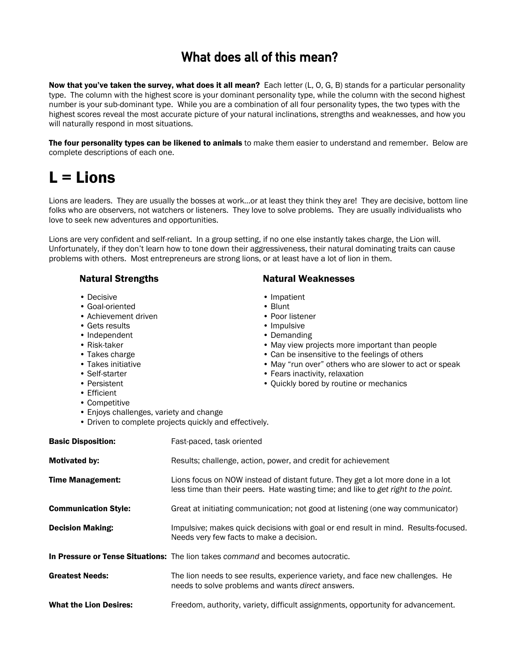### What does all of this mean?

Now that you've taken the survey, what does it all mean? Each letter (L, O, G, B) stands for a particular personality type. The column with the highest score is your dominant personality type, while the column with the second highest number is your sub-dominant type. While you are a combination of all four personality types, the two types with the highest scores reveal the most accurate picture of your natural inclinations, strengths and weaknesses, and how you will naturally respond in most situations.

The four personality types can be likened to animals to make them easier to understand and remember. Below are complete descriptions of each one.

## $L =$  Lions

Lions are leaders. They are usually the bosses at work…or at least they think they are! They are decisive, bottom line folks who are observers, not watchers or listeners. They love to solve problems. They are usually individualists who love to seek new adventures and opportunities.

Lions are very confident and self-reliant. In a group setting, if no one else instantly takes charge, the Lion will. Unfortunately, if they don't learn how to tone down their aggressiveness, their natural dominating traits can cause problems with others. Most entrepreneurs are strong lions, or at least have a lot of lion in them.

- 
- Goal-oriented Blunt
- Achievement driven Poor listener
- Gets results Impulsive
- Independent **Demanding**
- 
- 
- 
- 
- 
- Efficient
- Competitive
- Enjoys challenges, variety and change
- Driven to complete projects quickly and effectively.

| <b>Basic Disposition:</b>     | Fast-paced, task oriented                                                                                                                                             |
|-------------------------------|-----------------------------------------------------------------------------------------------------------------------------------------------------------------------|
| <b>Motivated by:</b>          | Results; challenge, action, power, and credit for achievement                                                                                                         |
| <b>Time Management:</b>       | Lions focus on NOW instead of distant future. They get a lot more done in a lot<br>less time than their peers. Hate wasting time; and like to get right to the point. |
| <b>Communication Style:</b>   | Great at initiating communication; not good at listening (one way communicator)                                                                                       |
| <b>Decision Making:</b>       | Impulsive; makes quick decisions with goal or end result in mind. Results-focused.<br>Needs very few facts to make a decision.                                        |
|                               | In Pressure or Tense Situations: The lion takes command and becomes autocratic.                                                                                       |
| <b>Greatest Needs:</b>        | The lion needs to see results, experience variety, and face new challenges. He<br>needs to solve problems and wants <i>direct</i> answers.                            |
| <b>What the Lion Desires:</b> | Freedom, authority, variety, difficult assignments, opportunity for advancement.                                                                                      |

### Natural Strengths Natural Weaknesses

- Decisive Impatient
	-
	-
	-
	-
- Risk-taker May view projects more important than people
- Takes charge  **Can be insensitive to the feelings of others**
- Takes initiative May "run over" others who are slower to act or speak
- Self-starter Fears inactivity, relaxation
- Persistent Quickly bored by routine or mechanics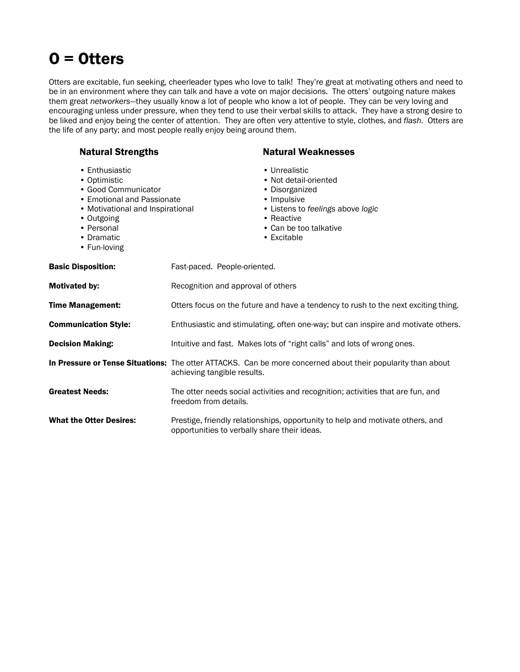# O = Otters

Otters are excitable, fun seeking, cheerleader types who love to talk! They're great at motivating others and need to be in an environment where they can talk and have a vote on major decisions. The otters' outgoing nature makes them great *networkers*—they usually know a lot of people who know a lot of people. They can be very loving and encouraging unless under pressure, when they tend to use their verbal skills to attack. They have a strong desire to be liked and enjoy being the center of attention. They are often very attentive to style, clothes, and *flash.* Otters are the life of any party; and most people really enjoy being around them.

| <b>Natural Strengths</b>                                                                                                                                                          |                                              | <b>Natural Weaknesses</b>                                                                                                                                           |
|-----------------------------------------------------------------------------------------------------------------------------------------------------------------------------------|----------------------------------------------|---------------------------------------------------------------------------------------------------------------------------------------------------------------------|
| • Enthusiastic<br>• Optimistic<br>· Good Communicator<br>• Emotional and Passionate<br>• Motivational and Inspirational<br>• Outgoing<br>• Personal<br>• Dramatic<br>• Fun-loving |                                              | • Unrealistic<br>• Not detail-oriented<br>• Disorganized<br>• Impulsive<br>• Listens to feelings above logic<br>• Reactive<br>• Can be too talkative<br>• Excitable |
| <b>Basic Disposition:</b>                                                                                                                                                         | Fast-paced. People-oriented.                 |                                                                                                                                                                     |
| Motivated by:                                                                                                                                                                     | Recognition and approval of others           |                                                                                                                                                                     |
| Time Management:                                                                                                                                                                  |                                              | Otters focus on the future and have a tendency to rush to the next exciting thing.                                                                                  |
| <b>Communication Style:</b>                                                                                                                                                       |                                              | Enthusiastic and stimulating, often one-way; but can inspire and motivate others.                                                                                   |
| <b>Decision Making:</b>                                                                                                                                                           |                                              | Intuitive and fast. Makes lots of "right calls" and lots of wrong ones.                                                                                             |
|                                                                                                                                                                                   | achieving tangible results.                  | In Pressure or Tense Situations: The otter ATTACKS. Can be more concerned about their popularity than about                                                         |
| <b>Greatest Needs:</b>                                                                                                                                                            | freedom from details.                        | The otter needs social activities and recognition; activities that are fun, and                                                                                     |
| <b>What the Otter Desires:</b>                                                                                                                                                    | opportunities to verbally share their ideas. | Prestige, friendly relationships, opportunity to help and motivate others, and                                                                                      |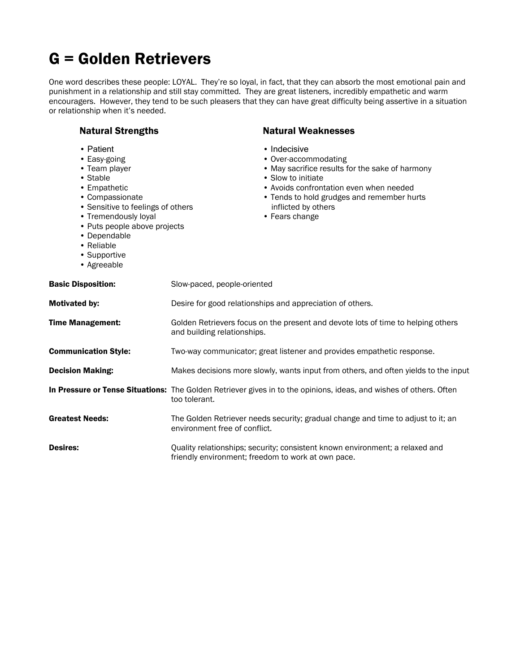# G = Golden Retrievers

One word describes these people: LOYAL. They're so loyal, in fact, that they can absorb the most emotional pain and punishment in a relationship and still stay committed. They are great listeners, incredibly empathetic and warm encouragers. However, they tend to be such pleasers that they can have great difficulty being assertive in a situation or relationship when it's needed.

| <b>Natural Strengths</b>                                                                                                                                                                                                                            | <b>Natural Weaknesses</b>                                                                                                                                                                                                                       |
|-----------------------------------------------------------------------------------------------------------------------------------------------------------------------------------------------------------------------------------------------------|-------------------------------------------------------------------------------------------------------------------------------------------------------------------------------------------------------------------------------------------------|
| • Patient<br>• Easy-going<br>• Team player<br>• Stable<br>• Empathetic<br>• Compassionate<br>• Sensitive to feelings of others<br>• Tremendously loyal<br>• Puts people above projects<br>• Dependable<br>• Reliable<br>• Supportive<br>• Agreeable | • Indecisive<br>• Over-accommodating<br>• May sacrifice results for the sake of harmony<br>• Slow to initiate<br>• Avoids confrontation even when needed<br>• Tends to hold grudges and remember hurts<br>inflicted by others<br>• Fears change |
| <b>Basic Disposition:</b>                                                                                                                                                                                                                           | Slow-paced, people-oriented                                                                                                                                                                                                                     |
| Motivated by:                                                                                                                                                                                                                                       | Desire for good relationships and appreciation of others.                                                                                                                                                                                       |
| <b>Time Management:</b>                                                                                                                                                                                                                             | Golden Retrievers focus on the present and devote lots of time to helping others<br>and building relationships.                                                                                                                                 |
| <b>Communication Style:</b>                                                                                                                                                                                                                         | Two-way communicator; great listener and provides empathetic response.                                                                                                                                                                          |
| <b>Decision Making:</b>                                                                                                                                                                                                                             | Makes decisions more slowly, wants input from others, and often yields to the input                                                                                                                                                             |
|                                                                                                                                                                                                                                                     | In Pressure or Tense Situations: The Golden Retriever gives in to the opinions, ideas, and wishes of others. Often<br>too tolerant.                                                                                                             |
| <b>Greatest Needs:</b>                                                                                                                                                                                                                              | The Golden Retriever needs security; gradual change and time to adjust to it; an<br>environment free of conflict.                                                                                                                               |
| <b>Desires:</b>                                                                                                                                                                                                                                     | Quality relationships; security; consistent known environment; a relaxed and<br>friendly environment; freedom to work at own pace.                                                                                                              |